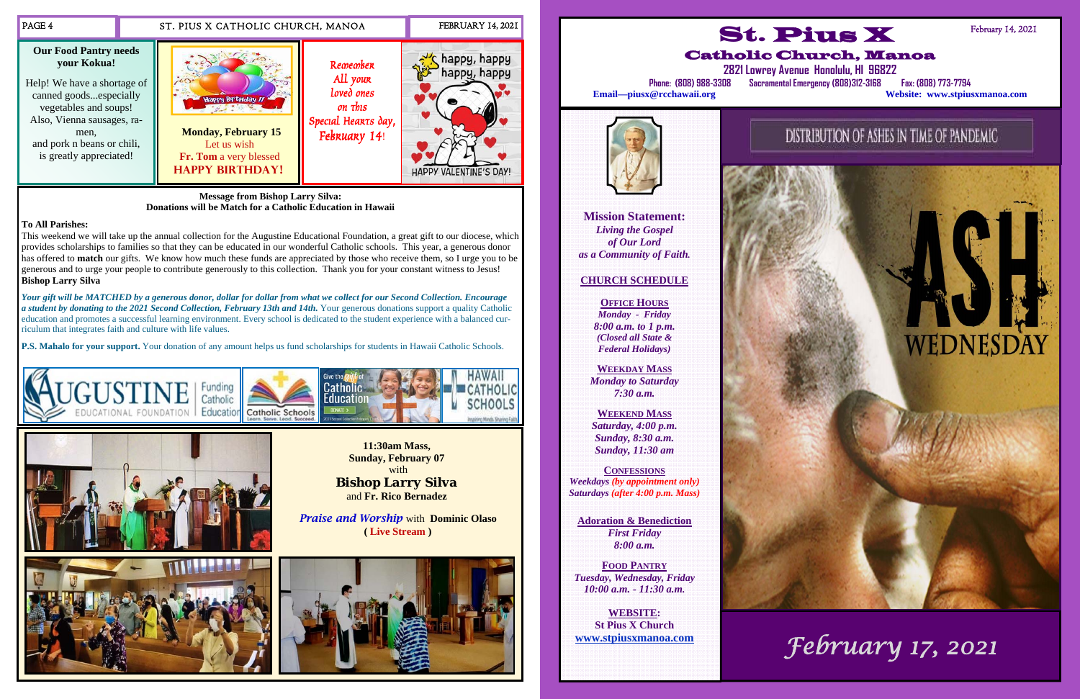**11:30am Mass, Sunday, February 07**  with *Bishop Larry Silva* and **Fr. Rico Bernadez** 

*Praise and Worship* with **Dominic Olaso ( Live Stream )**







**Message from Bishop Larry Silva: Donations will be Match for a Catholic Education in Hawaii** 

## **To All Parishes:**

This weekend we will take up the annual collection for the Augustine Educational Foundation, a great gift to our diocese, which provides scholarships to families so that they can be educated in our wonderful Catholic schools. This year, a generous donor has offered to **match** our gifts. We know how much these funds are appreciated by those who receive them, so I urge you to be generous and to urge your people to contribute generously to this collection. Thank you for your constant witness to Jesus! **Bishop Larry Silva** 

*Your gift will be MATCHED by a generous donor, dollar for dollar from what we collect for our Second Collection. Encourage a student by donating to the 2021 Second Collection, February 13th and 14th.* Your generous donations support a quality Catholic education and promotes a successful learning environment. Every school is dedicated to the student experience with a balanced curriculum that integrates faith and culture with life values.

**P.S. Mahalo for your support.** Your donation of any amount helps us fund scholarships for students in Hawaii Catholic Schools.







**Mission Statement:**  *Living the Gospel of Our Lord as a Community of Faith.* 

# **CHURCH SCHEDULE**

**OFFICE HOURS***Monday - Friday 8:00 a.m. to 1 p.m. (Closed all State & Federal Holidays)* 

**WEEKDAY MASS** *Monday to Saturday 7:30 a.m.* 

**WEEKEND MASS***Saturday, 4:00 p.m. Sunday, 8:30 a.m. Sunday, 11:30 am* 

**CONFESSIONS***Weekdays (by appointment only) Saturdays (after 4:00 p.m. Mass)* 

**Adoration & Benediction**  *First Friday 8:00 a.m.* 

**FOOD PANTRY***Tuesday, Wednesday, Friday 10:00 a.m. - 11:30 a.m.* 

**WEBSITE: St Pius X Church www.stpiusxmanoa.com** 



DISTRIBUTION OF ASHES IN TIME OF PANDEMIC

# WEDNESDAY

*February 17, 2021*